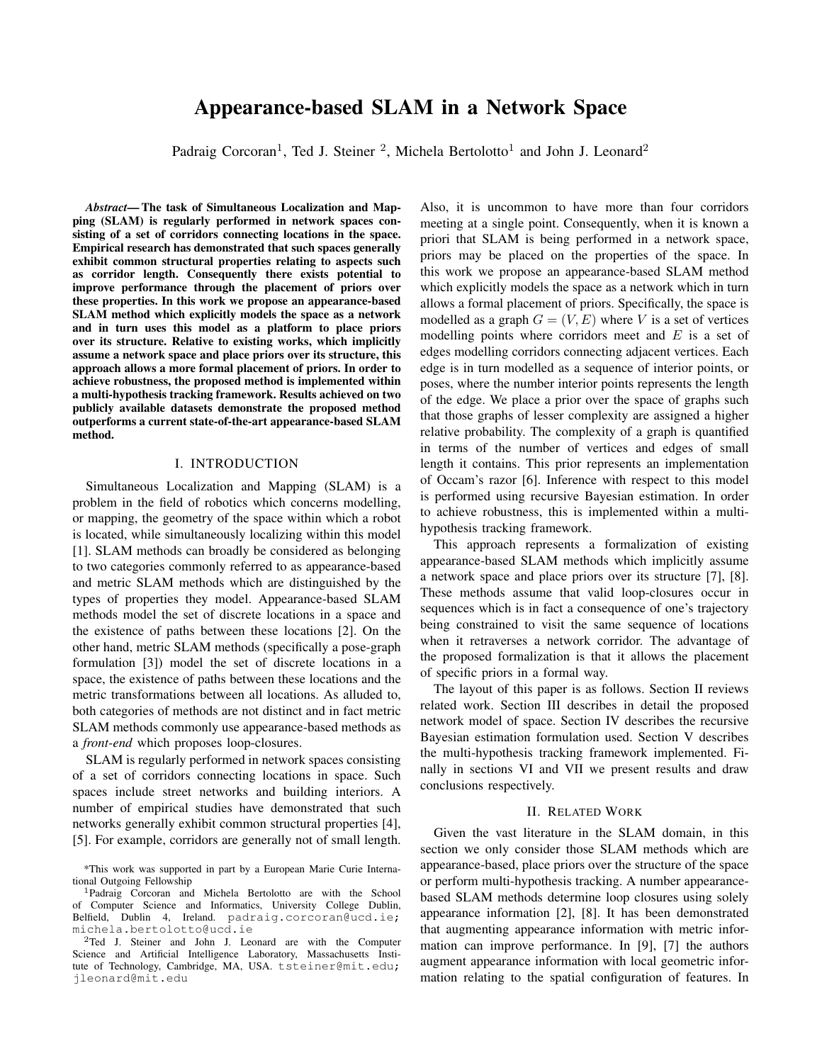# Appearance-based SLAM in a Network Space

Padraig Corcoran<sup>1</sup>, Ted J. Steiner <sup>2</sup>, Michela Bertolotto<sup>1</sup> and John J. Leonard<sup>2</sup>

*Abstract*— The task of Simultaneous Localization and Mapping (SLAM) is regularly performed in network spaces consisting of a set of corridors connecting locations in the space. Empirical research has demonstrated that such spaces generally exhibit common structural properties relating to aspects such as corridor length. Consequently there exists potential to improve performance through the placement of priors over these properties. In this work we propose an appearance-based SLAM method which explicitly models the space as a network and in turn uses this model as a platform to place priors over its structure. Relative to existing works, which implicitly assume a network space and place priors over its structure, this approach allows a more formal placement of priors. In order to achieve robustness, the proposed method is implemented within a multi-hypothesis tracking framework. Results achieved on two publicly available datasets demonstrate the proposed method outperforms a current state-of-the-art appearance-based SLAM method.

# I. INTRODUCTION

Simultaneous Localization and Mapping (SLAM) is a problem in the field of robotics which concerns modelling, or mapping, the geometry of the space within which a robot is located, while simultaneously localizing within this model [1]. SLAM methods can broadly be considered as belonging to two categories commonly referred to as appearance-based and metric SLAM methods which are distinguished by the types of properties they model. Appearance-based SLAM methods model the set of discrete locations in a space and the existence of paths between these locations [2]. On the other hand, metric SLAM methods (specifically a pose-graph formulation [3]) model the set of discrete locations in a space, the existence of paths between these locations and the metric transformations between all locations. As alluded to, both categories of methods are not distinct and in fact metric SLAM methods commonly use appearance-based methods as a *front-end* which proposes loop-closures.

SLAM is regularly performed in network spaces consisting of a set of corridors connecting locations in space. Such spaces include street networks and building interiors. A number of empirical studies have demonstrated that such networks generally exhibit common structural properties [4], [5]. For example, corridors are generally not of small length. Also, it is uncommon to have more than four corridors meeting at a single point. Consequently, when it is known a priori that SLAM is being performed in a network space, priors may be placed on the properties of the space. In this work we propose an appearance-based SLAM method which explicitly models the space as a network which in turn allows a formal placement of priors. Specifically, the space is modelled as a graph  $G = (V, E)$  where V is a set of vertices modelling points where corridors meet and  $E$  is a set of edges modelling corridors connecting adjacent vertices. Each edge is in turn modelled as a sequence of interior points, or poses, where the number interior points represents the length of the edge. We place a prior over the space of graphs such that those graphs of lesser complexity are assigned a higher relative probability. The complexity of a graph is quantified in terms of the number of vertices and edges of small length it contains. This prior represents an implementation of Occam's razor [6]. Inference with respect to this model is performed using recursive Bayesian estimation. In order to achieve robustness, this is implemented within a multihypothesis tracking framework.

This approach represents a formalization of existing appearance-based SLAM methods which implicitly assume a network space and place priors over its structure [7], [8]. These methods assume that valid loop-closures occur in sequences which is in fact a consequence of one's trajectory being constrained to visit the same sequence of locations when it retraverses a network corridor. The advantage of the proposed formalization is that it allows the placement of specific priors in a formal way.

The layout of this paper is as follows. Section II reviews related work. Section III describes in detail the proposed network model of space. Section IV describes the recursive Bayesian estimation formulation used. Section V describes the multi-hypothesis tracking framework implemented. Finally in sections VI and VII we present results and draw conclusions respectively.

## II. RELATED WORK

Given the vast literature in the SLAM domain, in this section we only consider those SLAM methods which are appearance-based, place priors over the structure of the space or perform multi-hypothesis tracking. A number appearancebased SLAM methods determine loop closures using solely appearance information [2], [8]. It has been demonstrated that augmenting appearance information with metric information can improve performance. In [9], [7] the authors augment appearance information with local geometric information relating to the spatial configuration of features. In

<sup>\*</sup>This work was supported in part by a European Marie Curie International Outgoing Fellowship

<sup>1</sup>Padraig Corcoran and Michela Bertolotto are with the School of Computer Science and Informatics, University College Dublin, Belfield, Dublin 4, Ireland. padraig.corcoran@ucd.ie; michela.bertolotto@ucd.ie

<sup>2</sup>Ted J. Steiner and John J. Leonard are with the Computer Science and Artificial Intelligence Laboratory, Massachusetts Institute of Technology, Cambridge, MA, USA. tsteiner@mit.edu; jleonard@mit.edu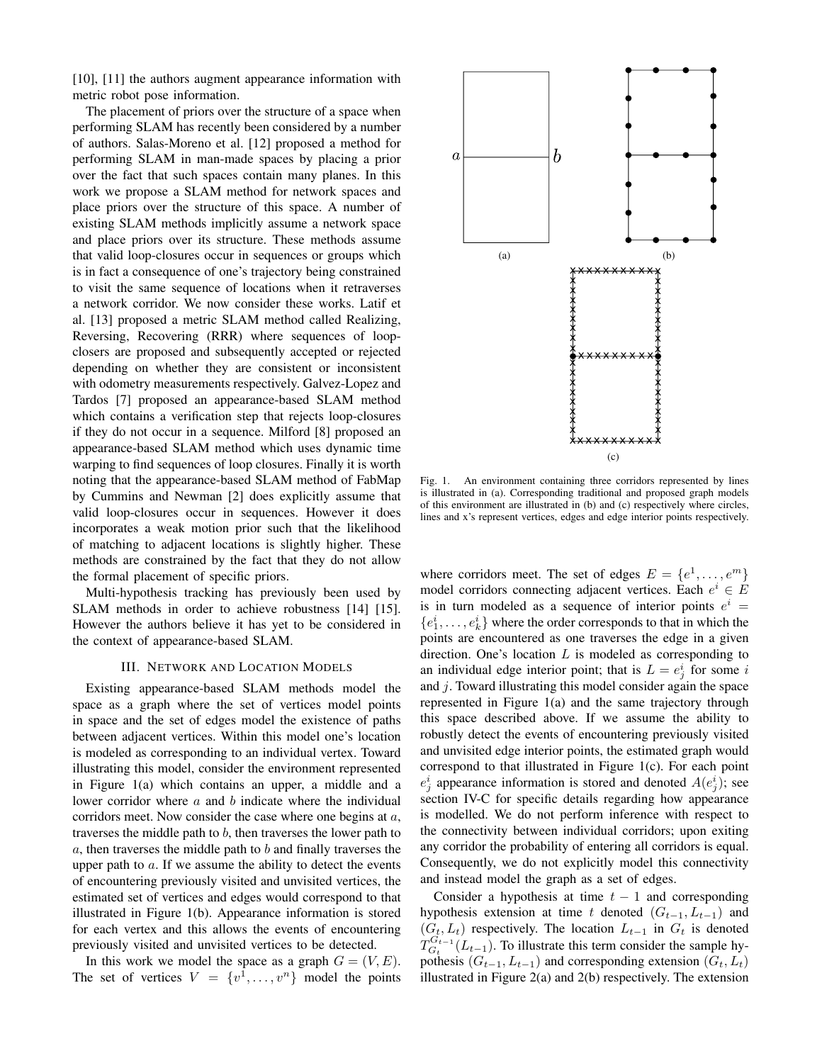[10], [11] the authors augment appearance information with metric robot pose information.

The placement of priors over the structure of a space when performing SLAM has recently been considered by a number of authors. Salas-Moreno et al. [12] proposed a method for performing SLAM in man-made spaces by placing a prior over the fact that such spaces contain many planes. In this work we propose a SLAM method for network spaces and place priors over the structure of this space. A number of existing SLAM methods implicitly assume a network space and place priors over its structure. These methods assume that valid loop-closures occur in sequences or groups which is in fact a consequence of one's trajectory being constrained to visit the same sequence of locations when it retraverses a network corridor. We now consider these works. Latif et al. [13] proposed a metric SLAM method called Realizing, Reversing, Recovering (RRR) where sequences of loopclosers are proposed and subsequently accepted or rejected depending on whether they are consistent or inconsistent with odometry measurements respectively. Galvez-Lopez and Tardos [7] proposed an appearance-based SLAM method which contains a verification step that rejects loop-closures if they do not occur in a sequence. Milford [8] proposed an appearance-based SLAM method which uses dynamic time warping to find sequences of loop closures. Finally it is worth noting that the appearance-based SLAM method of FabMap by Cummins and Newman [2] does explicitly assume that valid loop-closures occur in sequences. However it does incorporates a weak motion prior such that the likelihood of matching to adjacent locations is slightly higher. These methods are constrained by the fact that they do not allow the formal placement of specific priors.

Multi-hypothesis tracking has previously been used by SLAM methods in order to achieve robustness [14] [15]. However the authors believe it has yet to be considered in the context of appearance-based SLAM.

# III. NETWORK AND LOCATION MODELS

Existing appearance-based SLAM methods model the space as a graph where the set of vertices model points in space and the set of edges model the existence of paths between adjacent vertices. Within this model one's location is modeled as corresponding to an individual vertex. Toward illustrating this model, consider the environment represented in Figure 1(a) which contains an upper, a middle and a lower corridor where a and b indicate where the individual corridors meet. Now consider the case where one begins at a, traverses the middle path to  $b$ , then traverses the lower path to  $a$ , then traverses the middle path to  $b$  and finally traverses the upper path to  $a$ . If we assume the ability to detect the events of encountering previously visited and unvisited vertices, the estimated set of vertices and edges would correspond to that illustrated in Figure 1(b). Appearance information is stored for each vertex and this allows the events of encountering previously visited and unvisited vertices to be detected.

In this work we model the space as a graph  $G = (V, E)$ . The set of vertices  $V = \{v^1, \dots, v^n\}$  model the points



Fig. 1. An environment containing three corridors represented by lines is illustrated in (a). Corresponding traditional and proposed graph models of this environment are illustrated in (b) and (c) respectively where circles, lines and x's represent vertices, edges and edge interior points respectively.

where corridors meet. The set of edges  $E = \{e^1, \dots, e^m\}$ model corridors connecting adjacent vertices. Each  $e^i \in E$ is in turn modeled as a sequence of interior points  $e^{i}$  =  $\{e_1^i, \ldots, e_k^i\}$  where the order corresponds to that in which the points are encountered as one traverses the edge in a given direction. One's location  $L$  is modeled as corresponding to an individual edge interior point; that is  $L = e_j^i$  for some i and  $j$ . Toward illustrating this model consider again the space represented in Figure 1(a) and the same trajectory through this space described above. If we assume the ability to robustly detect the events of encountering previously visited and unvisited edge interior points, the estimated graph would correspond to that illustrated in Figure 1(c). For each point  $e_j^i$  appearance information is stored and denoted  $A(e_j^i)$ ; see section IV-C for specific details regarding how appearance is modelled. We do not perform inference with respect to the connectivity between individual corridors; upon exiting any corridor the probability of entering all corridors is equal. Consequently, we do not explicitly model this connectivity and instead model the graph as a set of edges.

Consider a hypothesis at time  $t - 1$  and corresponding hypothesis extension at time t denoted  $(G_{t-1}, L_{t-1})$  and  $(G_t, L_t)$  respectively. The location  $L_{t-1}$  in  $G_t$  is denoted  $T_{G_t}^{G_{t-1}}$  $G_t^{G_{t-1}}(L_{t-1})$ . To illustrate this term consider the sample hypothesis  $(G_{t-1}, L_{t-1})$  and corresponding extension  $(G_t, L_t)$ illustrated in Figure 2(a) and 2(b) respectively. The extension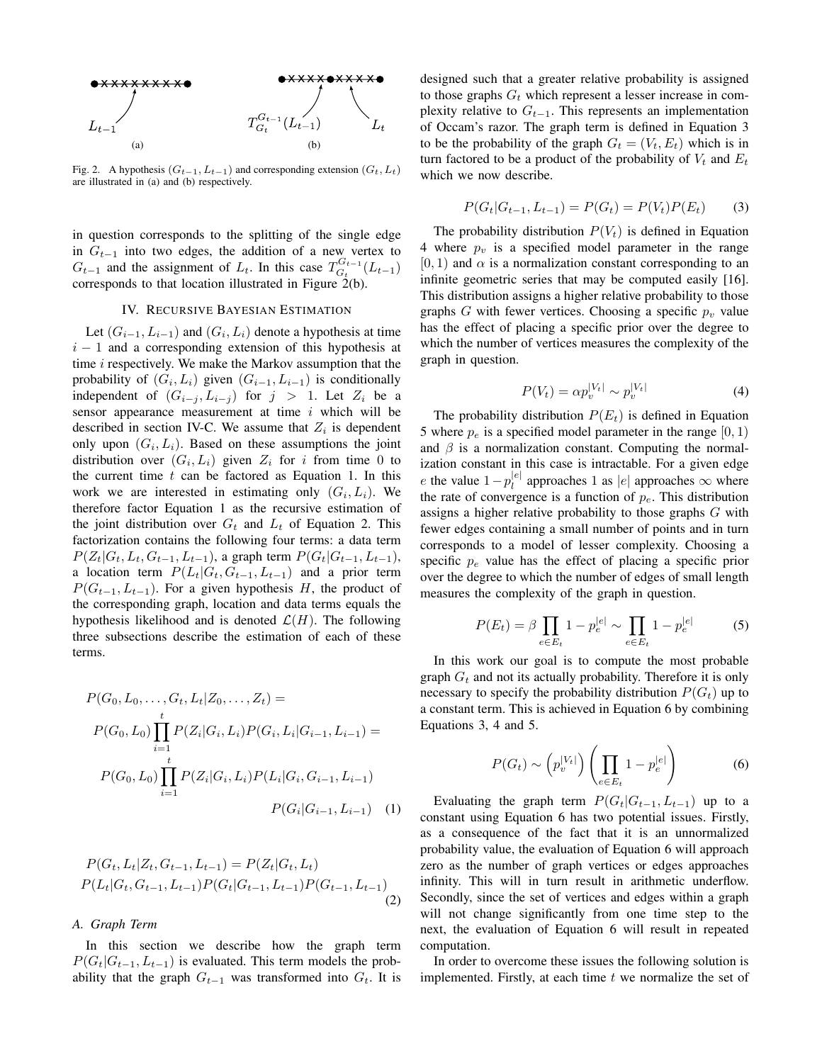

Fig. 2. A hypothesis  $(G_{t-1}, L_{t-1})$  and corresponding extension  $(G_t, L_t)$ are illustrated in (a) and (b) respectively.

in question corresponds to the splitting of the single edge in  $G_{t-1}$  into two edges, the addition of a new vertex to  $G_{t-1}$  and the assignment of  $L_t$ . In this case  $T_{G_t}^{G_{t-1}}$  $G_t^{\mathbf{G}_{t-1}}(L_{t-1})$ corresponds to that location illustrated in Figure  $\dot{2}$ (b).

# IV. RECURSIVE BAYESIAN ESTIMATION

Let  $(G_{i-1}, L_{i-1})$  and  $(G_i, L_i)$  denote a hypothesis at time  $i - 1$  and a corresponding extension of this hypothesis at time *i* respectively. We make the Markov assumption that the probability of  $(G_i, L_i)$  given  $(G_{i-1}, L_{i-1})$  is conditionally independent of  $(G_{i-j}, L_{i-j})$  for  $j > 1$ . Let  $Z_i$  be a sensor appearance measurement at time  $i$  which will be described in section IV-C. We assume that  $Z_i$  is dependent only upon  $(G_i, L_i)$ . Based on these assumptions the joint distribution over  $(G_i, L_i)$  given  $Z_i$  for i from time 0 to the current time  $t$  can be factored as Equation 1. In this work we are interested in estimating only  $(G_i, L_i)$ . We therefore factor Equation 1 as the recursive estimation of the joint distribution over  $G_t$  and  $L_t$  of Equation 2. This factorization contains the following four terms: a data term  $P(Z_t|G_t, L_t, G_{t-1}, L_{t-1})$ , a graph term  $P(G_t|G_{t-1}, L_{t-1})$ , a location term  $P(L_t|G_t, G_{t-1}, L_{t-1})$  and a prior term  $P(G_{t-1}, L_{t-1})$ . For a given hypothesis H, the product of the corresponding graph, location and data terms equals the hypothesis likelihood and is denoted  $\mathcal{L}(H)$ . The following three subsections describe the estimation of each of these terms.

$$
P(G_0, L_0, \dots, G_t, L_t | Z_0, \dots, Z_t) =
$$
  
\n
$$
P(G_0, L_0) \prod_{i=1}^t P(Z_i | G_i, L_i) P(G_i, L_i | G_{i-1}, L_{i-1}) =
$$
  
\n
$$
P(G_0, L_0) \prod_{i=1}^t P(Z_i | G_i, L_i) P(L_i | G_i, G_{i-1}, L_{i-1})
$$
  
\n
$$
P(G_i | G_{i-1}, L_{i-1}) \quad (1)
$$

$$
P(G_t, L_t | Z_t, G_{t-1}, L_{t-1}) = P(Z_t | G_t, L_t)
$$
  
\n
$$
P(L_t | G_t, G_{t-1}, L_{t-1}) P(G_t | G_{t-1}, L_{t-1}) P(G_{t-1}, L_{t-1})
$$
\n(2)

# *A. Graph Term*

In this section we describe how the graph term  $P(G_t|G_{t-1}, L_{t-1})$  is evaluated. This term models the probability that the graph  $G_{t-1}$  was transformed into  $G_t$ . It is designed such that a greater relative probability is assigned to those graphs  $G_t$  which represent a lesser increase in complexity relative to  $G_{t-1}$ . This represents an implementation of Occam's razor. The graph term is defined in Equation 3 to be the probability of the graph  $G_t = (V_t, E_t)$  which is in turn factored to be a product of the probability of  $V_t$  and  $E_t$ which we now describe.

$$
P(G_t|G_{t-1}, L_{t-1}) = P(G_t) = P(V_t)P(E_t)
$$
 (3)

The probability distribution  $P(V_t)$  is defined in Equation 4 where  $p_v$  is a specified model parameter in the range  $[0, 1)$  and  $\alpha$  is a normalization constant corresponding to an infinite geometric series that may be computed easily [16]. This distribution assigns a higher relative probability to those graphs G with fewer vertices. Choosing a specific  $p<sub>v</sub>$  value has the effect of placing a specific prior over the degree to which the number of vertices measures the complexity of the graph in question.

$$
P(V_t) = \alpha p_v^{|V_t|} \sim p_v^{|V_t|}
$$
 (4)

The probability distribution  $P(E_t)$  is defined in Equation 5 where  $p_e$  is a specified model parameter in the range  $[0, 1)$ and  $\beta$  is a normalization constant. Computing the normalization constant in this case is intractable. For a given edge e the value  $1-p_l^{|e|}$  $\left| \begin{array}{c} e \\ i \end{array} \right|$  approaches  $\infty$  where the rate of convergence is a function of  $p_e$ . This distribution assigns a higher relative probability to those graphs G with fewer edges containing a small number of points and in turn corresponds to a model of lesser complexity. Choosing a specific  $p_e$  value has the effect of placing a specific prior over the degree to which the number of edges of small length measures the complexity of the graph in question.

$$
P(E_t) = \beta \prod_{e \in E_t} 1 - p_e^{|e|} \sim \prod_{e \in E_t} 1 - p_e^{|e|}
$$
 (5)

In this work our goal is to compute the most probable graph  $G_t$  and not its actually probability. Therefore it is only necessary to specify the probability distribution  $P(G_t)$  up to a constant term. This is achieved in Equation 6 by combining Equations 3, 4 and 5.

$$
P(G_t) \sim \left(p_v^{|V_t|}\right) \left(\prod_{e \in E_t} 1 - p_e^{|e|}\right) \tag{6}
$$

Evaluating the graph term  $P(G_t|G_{t-1}, L_{t-1})$  up to a constant using Equation 6 has two potential issues. Firstly, as a consequence of the fact that it is an unnormalized probability value, the evaluation of Equation 6 will approach zero as the number of graph vertices or edges approaches infinity. This will in turn result in arithmetic underflow. Secondly, since the set of vertices and edges within a graph will not change significantly from one time step to the next, the evaluation of Equation 6 will result in repeated computation.

In order to overcome these issues the following solution is implemented. Firstly, at each time  $t$  we normalize the set of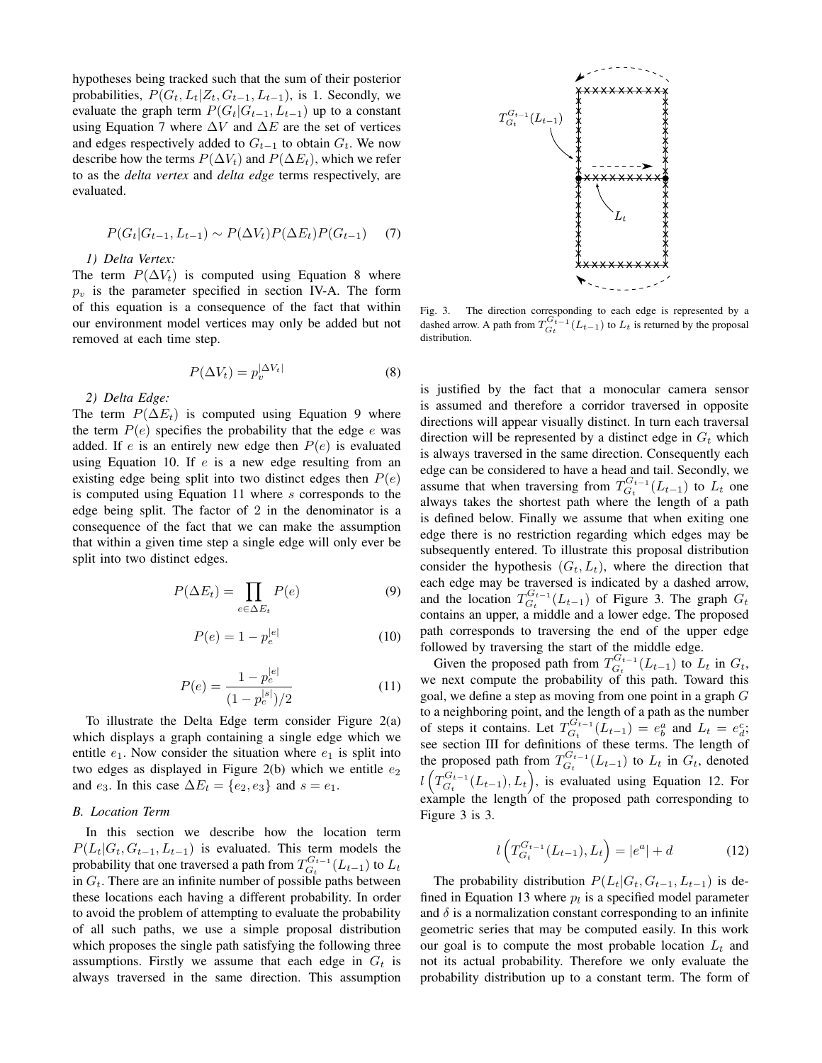hypotheses being tracked such that the sum of their posterior probabilities,  $P(G_t, L_t | Z_t, G_{t-1}, L_{t-1})$ , is 1. Secondly, we evaluate the graph term  $P(G_t|G_{t-1}, L_{t-1})$  up to a constant using Equation 7 where  $\Delta V$  and  $\Delta E$  are the set of vertices and edges respectively added to  $G_{t-1}$  to obtain  $G_t$ . We now describe how the terms  $P(\Delta V_t)$  and  $P(\Delta E_t)$ , which we refer to as the *delta vertex* and *delta edge* terms respectively, are evaluated.

$$
P(G_t|G_{t-1}, L_{t-1}) \sim P(\Delta V_t)P(\Delta E_t)P(G_{t-1}) \quad (7)
$$

# *1) Delta Vertex:*

The term  $P(\Delta V_t)$  is computed using Equation 8 where  $p_v$  is the parameter specified in section IV-A. The form of this equation is a consequence of the fact that within our environment model vertices may only be added but not removed at each time step.

$$
P(\Delta V_t) = p_v^{|\Delta V_t|} \tag{8}
$$

*2) Delta Edge:*

The term  $P(\Delta E_t)$  is computed using Equation 9 where the term  $P(e)$  specifies the probability that the edge e was added. If e is an entirely new edge then  $P(e)$  is evaluated using Equation 10. If  $e$  is a new edge resulting from an existing edge being split into two distinct edges then  $P(e)$ is computed using Equation 11 where s corresponds to the edge being split. The factor of 2 in the denominator is a consequence of the fact that we can make the assumption that within a given time step a single edge will only ever be split into two distinct edges.

$$
P(\Delta E_t) = \prod_{e \in \Delta E_t} P(e) \tag{9}
$$

$$
P(e) = 1 - p_e^{|e|}
$$
 (10)

$$
P(e) = \frac{1 - p_e^{|e|}}{(1 - p_e^{|s|})/2} \tag{11}
$$

To illustrate the Delta Edge term consider Figure 2(a) which displays a graph containing a single edge which we entitle  $e_1$ . Now consider the situation where  $e_1$  is split into two edges as displayed in Figure 2(b) which we entitle  $e_2$ and  $e_3$ . In this case  $\Delta E_t = \{e_2, e_3\}$  and  $s = e_1$ .

# *B. Location Term*

In this section we describe how the location term  $P(L_t|G_t, G_{t-1}, L_{t-1})$  is evaluated. This term models the probability that one traversed a path from  $T_{G_t}^{G_{t-1}}$  $C_{G_t}^{G_t-1}(L_{t-1})$  to  $L_t$ in  $G_t$ . There are an infinite number of possible paths between these locations each having a different probability. In order to avoid the problem of attempting to evaluate the probability of all such paths, we use a simple proposal distribution which proposes the single path satisfying the following three assumptions. Firstly we assume that each edge in  $G_t$  is always traversed in the same direction. This assumption



Fig. 3. The direction corresponding to each edge is represented by a dashed arrow. A path from  $T_{G_t}^{G_{t-1}}(L_{t-1})$  to  $L_t$  is returned by the proposal distribution.

is justified by the fact that a monocular camera sensor is assumed and therefore a corridor traversed in opposite directions will appear visually distinct. In turn each traversal direction will be represented by a distinct edge in  $G_t$  which is always traversed in the same direction. Consequently each edge can be considered to have a head and tail. Secondly, we assume that when traversing from  $T_{G_t}^{G_{t-1}}$  $G_t^{G_{t-1}}(L_{t-1})$  to  $L_t$  one always takes the shortest path where the length of a path is defined below. Finally we assume that when exiting one edge there is no restriction regarding which edges may be subsequently entered. To illustrate this proposal distribution consider the hypothesis  $(G_t, L_t)$ , where the direction that each edge may be traversed is indicated by a dashed arrow, and the location  $T_{G_t}^{G_{t-1}}$  $G_t^{G_{t-1}}(L_{t-1})$  of Figure 3. The graph  $G_t$ contains an upper, a middle and a lower edge. The proposed path corresponds to traversing the end of the upper edge followed by traversing the start of the middle edge.

Given the proposed path from  $T_{G_t}^{G_{t-1}}$  $G_t^{G_{t-1}}(L_{t-1})$  to  $L_t$  in  $G_t$ , we next compute the probability of this path. Toward this goal, we define a step as moving from one point in a graph  $G$ to a neighboring point, and the length of a path as the number of steps it contains. Let  $T_{G_t}^{G_{t-1}}$  $e_{G_t}^{G_{t-1}}(L_{t-1}) = e_b^a$  and  $L_t = e_d^c$ ; see section III for definitions of these terms. The length of the proposed path from  $T_{G_1}^{G_{t-1}}$  $G_t^{G_{t-1}}(L_{t-1})$  to  $L_t$  in  $G_t$ , denoted  $l\left(T_G^{G_{t-1}}\right)$  $G_{t-1}(L_{t-1}), L_t$ , is evaluated using Equation 12. For example the length of the proposed path corresponding to Figure 3 is 3.

$$
l\left(T_{G_t}^{G_{t-1}}(L_{t-1}), L_t\right) = |e^a| + d \tag{12}
$$

The probability distribution  $P(L_t|G_t, G_{t-1}, L_{t-1})$  is defined in Equation 13 where  $p_l$  is a specified model parameter and  $\delta$  is a normalization constant corresponding to an infinite geometric series that may be computed easily. In this work our goal is to compute the most probable location  $L_t$  and not its actual probability. Therefore we only evaluate the probability distribution up to a constant term. The form of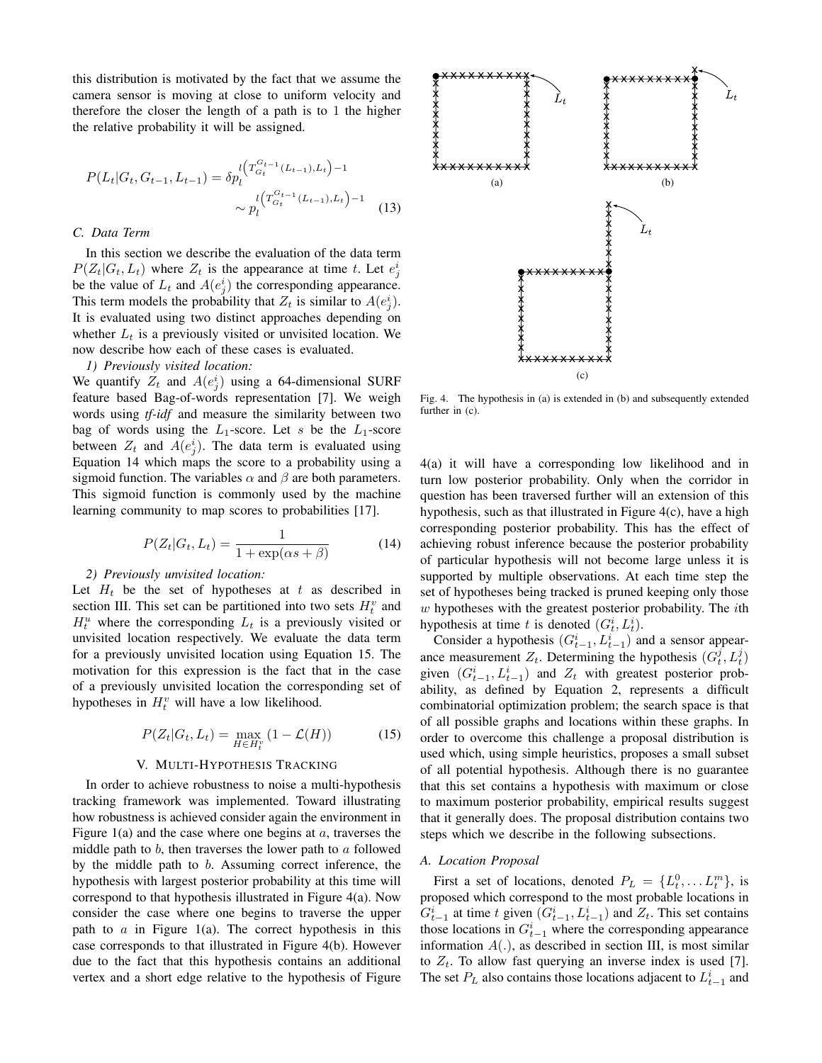this distribution is motivated by the fact that we assume the camera sensor is moving at close to uniform velocity and therefore the closer the length of a path is to 1 the higher the relative probability it will be assigned.

$$
P(L_t|G_t, G_{t-1}, L_{t-1}) = \delta p_l^{l} \binom{T_{G_t}^{G_{t-1}}(L_{t-1}), L_t - 1}{\sim p_l^{l} \binom{T_{G_t}^{G_{t-1}}(L_{t-1}), L_t - 1}{l} \tag{13}
$$

## *C. Data Term*

In this section we describe the evaluation of the data term  $P(Z_t|G_t, L_t)$  where  $Z_t$  is the appearance at time t. Let  $e_j^i$ be the value of  $L_t$  and  $A(e_j^i)$  the corresponding appearance. This term models the probability that  $Z_t$  is similar to  $A(e_j^i)$ . It is evaluated using two distinct approaches depending on whether  $L_t$  is a previously visited or unvisited location. We now describe how each of these cases is evaluated.

# *1) Previously visited location:*

We quantify  $Z_t$  and  $A(e_j^i)$  using a 64-dimensional SURF feature based Bag-of-words representation [7]. We weigh words using *tf-idf* and measure the similarity between two bag of words using the  $L_1$ -score. Let s be the  $L_1$ -score between  $Z_t$  and  $A(e_j^i)$ . The data term is evaluated using Equation 14 which maps the score to a probability using a sigmoid function. The variables  $\alpha$  and  $\beta$  are both parameters. This sigmoid function is commonly used by the machine learning community to map scores to probabilities [17].

$$
P(Z_t|G_t, L_t) = \frac{1}{1 + \exp(\alpha s + \beta)}\tag{14}
$$

# *2) Previously unvisited location:*

Let  $H_t$  be the set of hypotheses at t as described in section III. This set can be partitioned into two sets  $H_t^v$  and  $H_t^u$  where the corresponding  $L_t$  is a previously visited or unvisited location respectively. We evaluate the data term for a previously unvisited location using Equation 15. The motivation for this expression is the fact that in the case of a previously unvisited location the corresponding set of hypotheses in  $H_t^v$  will have a low likelihood.

$$
P(Z_t|G_t, L_t) = \max_{H \in H_t^v} (1 - \mathcal{L}(H))
$$
 (15)

#### V. MULTI-HYPOTHESIS TRACKING

In order to achieve robustness to noise a multi-hypothesis tracking framework was implemented. Toward illustrating how robustness is achieved consider again the environment in Figure 1(a) and the case where one begins at  $a$ , traverses the middle path to  $b$ , then traverses the lower path to  $a$  followed by the middle path to b. Assuming correct inference, the hypothesis with largest posterior probability at this time will correspond to that hypothesis illustrated in Figure 4(a). Now consider the case where one begins to traverse the upper path to  $a$  in Figure 1(a). The correct hypothesis in this case corresponds to that illustrated in Figure 4(b). However due to the fact that this hypothesis contains an additional vertex and a short edge relative to the hypothesis of Figure



Fig. 4. The hypothesis in (a) is extended in (b) and subsequently extended further in (c).

4(a) it will have a corresponding low likelihood and in turn low posterior probability. Only when the corridor in question has been traversed further will an extension of this hypothesis, such as that illustrated in Figure 4(c), have a high corresponding posterior probability. This has the effect of achieving robust inference because the posterior probability of particular hypothesis will not become large unless it is supported by multiple observations. At each time step the set of hypotheses being tracked is pruned keeping only those w hypotheses with the greatest posterior probability. The  $i$ th hypothesis at time t is denoted  $(G_t^i, L_t^i)$ .

Consider a hypothesis  $(G_{t-1}^i, L_{t-1}^i)$  and a sensor appearance measurement  $Z_t$ . Determining the hypothesis  $(G_t^j, L_t^j)$ given  $(G_{t-1}^i, L_{t-1}^i)$  and  $Z_t$  with greatest posterior probability, as defined by Equation 2, represents a difficult combinatorial optimization problem; the search space is that of all possible graphs and locations within these graphs. In order to overcome this challenge a proposal distribution is used which, using simple heuristics, proposes a small subset of all potential hypothesis. Although there is no guarantee that this set contains a hypothesis with maximum or close to maximum posterior probability, empirical results suggest that it generally does. The proposal distribution contains two steps which we describe in the following subsections.

#### *A. Location Proposal*

First a set of locations, denoted  $P_L = \{L_t^0, \dots L_t^m\}$ , is proposed which correspond to the most probable locations in  $G_{t-1}^i$  at time t given  $(G_{t-1}^i, L_{t-1}^i)$  and  $Z_t$ . This set contains those locations in  $G_{t-1}^i$  where the corresponding appearance information  $A(.)$ , as described in section III, is most similar to  $Z_t$ . To allow fast querying an inverse index is used [7]. The set  $P_L$  also contains those locations adjacent to  $L_{t-1}^i$  and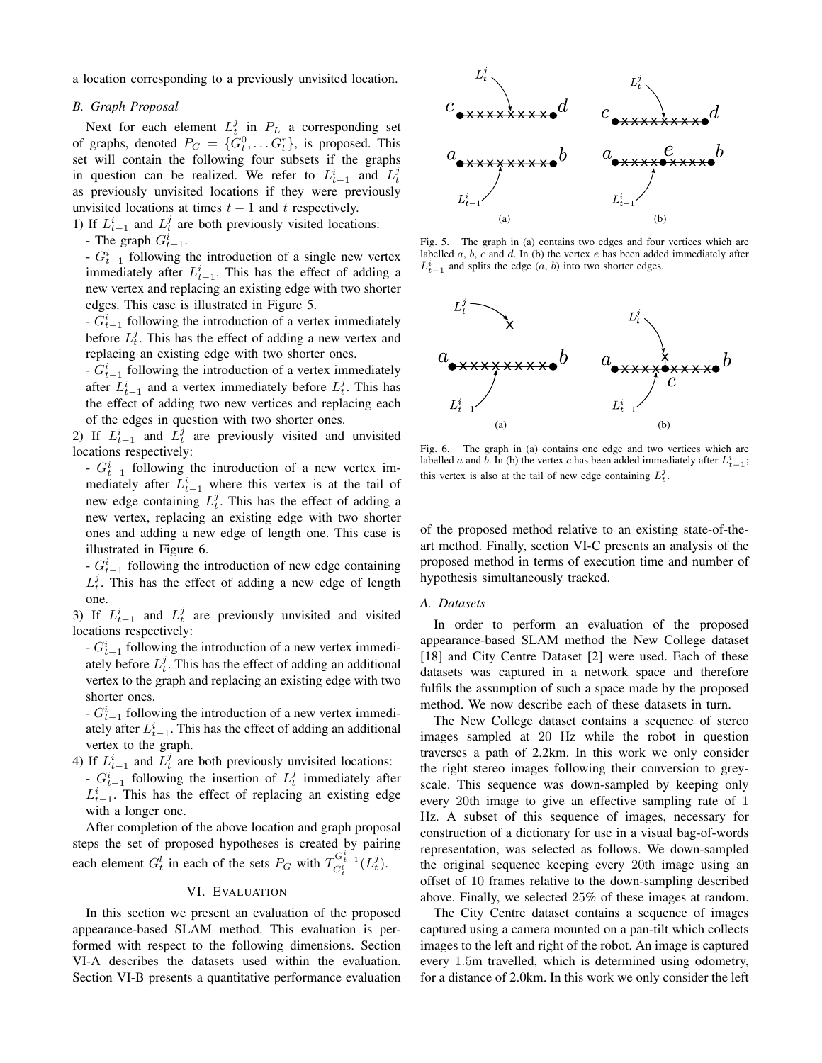a location corresponding to a previously unvisited location.

#### *B. Graph Proposal*

Next for each element  $L_t^j$  in  $P_L$  a corresponding set of graphs, denoted  $P_G = \{G_t^0, \dots G_t^r\}$ , is proposed. This set will contain the following four subsets if the graphs in question can be realized. We refer to  $L_{t-1}^i$  and  $L_t^j$ as previously unvisited locations if they were previously unvisited locations at times  $t - 1$  and t respectively.

1) If  $L_{t-1}^i$  and  $L_t^j$  are both previously visited locations:

- The graph  $G_{t-1}^i$ .

 $-G_{t-1}^i$  following the introduction of a single new vertex immediately after  $L_{t-1}^i$ . This has the effect of adding a new vertex and replacing an existing edge with two shorter edges. This case is illustrated in Figure 5.

 $-G_{t-1}^i$  following the introduction of a vertex immediately before  $L_t^j$ . This has the effect of adding a new vertex and replacing an existing edge with two shorter ones.

 $- G_{t-1}^i$  following the introduction of a vertex immediately after  $L_{t-1}^i$  and a vertex immediately before  $L_t^j$ . This has the effect of adding two new vertices and replacing each of the edges in question with two shorter ones.

2) If  $L_{t-1}^i$  and  $\overline{L}_t^j$  are previously visited and unvisited locations respectively:

 $-G_{t-1}^i$  following the introduction of a new vertex immediately after  $L_{t-1}^i$  where this vertex is at the tail of new edge containing  $L_t^j$ . This has the effect of adding a new vertex, replacing an existing edge with two shorter ones and adding a new edge of length one. This case is illustrated in Figure 6.

 $-G_{t-1}^i$  following the introduction of new edge containing  $L_t^j$ . This has the effect of adding a new edge of length one.

3) If  $L_{t-1}^i$  and  $L_t^j$  are previously unvisited and visited locations respectively:

 $-G_{t-1}^i$  following the introduction of a new vertex immediately before  $L_t^j$ . This has the effect of adding an additional vertex to the graph and replacing an existing edge with two shorter ones.

 $-G_{t-1}^i$  following the introduction of a new vertex immediately after  $L_{t-1}^i$ . This has the effect of adding an additional vertex to the graph.

4) If  $L_{t-1}^i$  and  $\bar{L}_t^j$  are both previously unvisited locations: -  $G_{t-1}^i$  following the insertion of  $L_t^j$  immediately after  $L_{t-1}^i$ . This has the effect of replacing an existing edge with a longer one.

After completion of the above location and graph proposal steps the set of proposed hypotheses is created by pairing each element  $G_t^l$  in each of the sets  $P_G$  with  $T_{G_t^l}^{G_{t-1}^i}(L_t^j)$ . t

# VI. EVALUATION

In this section we present an evaluation of the proposed appearance-based SLAM method. This evaluation is performed with respect to the following dimensions. Section VI-A describes the datasets used within the evaluation. Section VI-B presents a quantitative performance evaluation



Fig. 5. The graph in (a) contains two edges and four vertices which are labelled  $a, b, c$  and  $d$ . In (b) the vertex  $e$  has been added immediately after  $L_{t-1}^i$  and splits the edge  $(a, b)$  into two shorter edges.



Fig. 6. The graph in (a) contains one edge and two vertices which are labelled a and b. In (b) the vertex c has been added immediately after  $L_{t-1}^i$ ; this vertex is also at the tail of new edge containing  $L_t^j$ .

of the proposed method relative to an existing state-of-theart method. Finally, section VI-C presents an analysis of the proposed method in terms of execution time and number of hypothesis simultaneously tracked.

# *A. Datasets*

In order to perform an evaluation of the proposed appearance-based SLAM method the New College dataset [18] and City Centre Dataset [2] were used. Each of these datasets was captured in a network space and therefore fulfils the assumption of such a space made by the proposed method. We now describe each of these datasets in turn.

The New College dataset contains a sequence of stereo images sampled at 20 Hz while the robot in question traverses a path of 2.2km. In this work we only consider the right stereo images following their conversion to greyscale. This sequence was down-sampled by keeping only every 20th image to give an effective sampling rate of 1 Hz. A subset of this sequence of images, necessary for construction of a dictionary for use in a visual bag-of-words representation, was selected as follows. We down-sampled the original sequence keeping every 20th image using an offset of 10 frames relative to the down-sampling described above. Finally, we selected 25% of these images at random.

The City Centre dataset contains a sequence of images captured using a camera mounted on a pan-tilt which collects images to the left and right of the robot. An image is captured every 1.5m travelled, which is determined using odometry, for a distance of 2.0km. In this work we only consider the left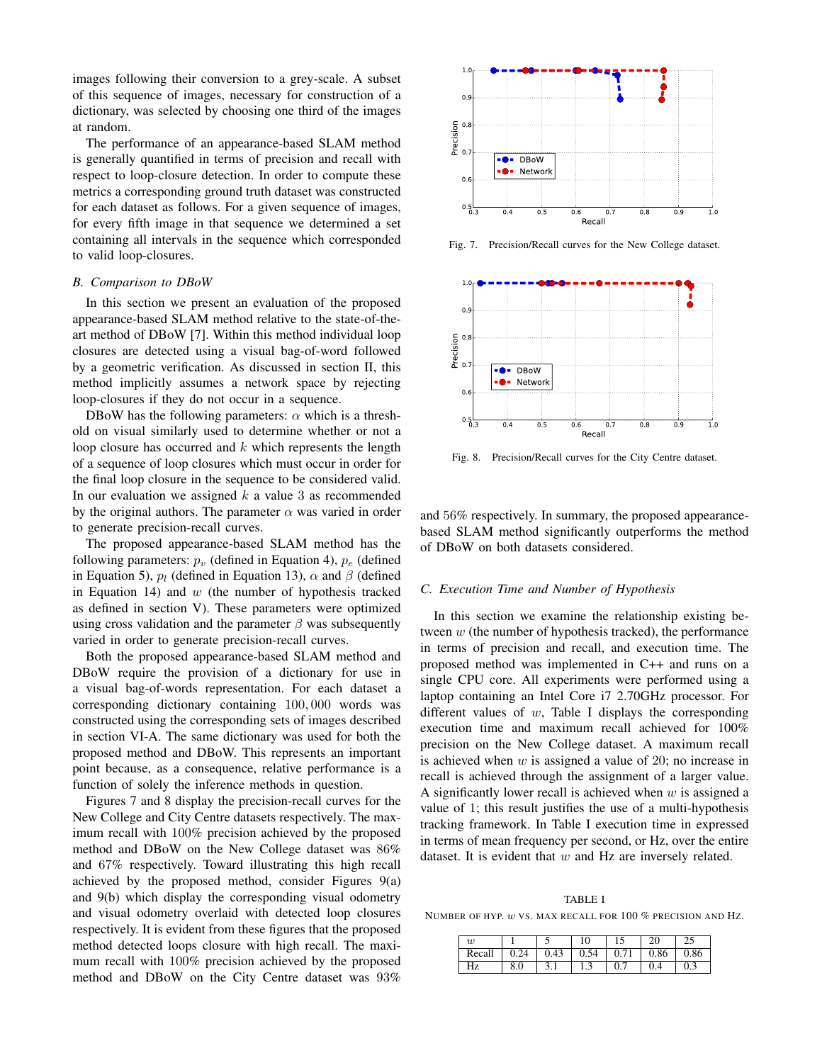images following their conversion to a grey-scale. A subset of this sequence of images, necessary for construction of a dictionary, was selected by choosing one third of the images at random.

The performance of an appearance-based SLAM method is generally quantified in terms of precision and recall with respect to loop-closure detection. In order to compute these metrics a corresponding ground truth dataset was constructed for each dataset as follows. For a given sequence of images, for every fifth image in that sequence we determined a set containing all intervals in the sequence which corresponded to valid loop-closures.

#### *B. Comparison to DBoW*

In this section we present an evaluation of the proposed appearance-based SLAM method relative to the state-of-theart method of DBoW [7]. Within this method individual loop closures are detected using a visual bag-of-word followed by a geometric verification. As discussed in section II, this method implicitly assumes a network space by rejecting loop-closures if they do not occur in a sequence.

DBoW has the following parameters:  $\alpha$  which is a threshold on visual similarly used to determine whether or not a loop closure has occurred and  $k$  which represents the length of a sequence of loop closures which must occur in order for the final loop closure in the sequence to be considered valid. In our evaluation we assigned  $k$  a value 3 as recommended by the original authors. The parameter  $\alpha$  was varied in order to generate precision-recall curves.

The proposed appearance-based SLAM method has the following parameters:  $p_v$  (defined in Equation 4),  $p_e$  (defined in Equation 5),  $p_l$  (defined in Equation 13),  $\alpha$  and  $\beta$  (defined in Equation 14) and  $w$  (the number of hypothesis tracked as defined in section V). These parameters were optimized using cross validation and the parameter  $\beta$  was subsequently varied in order to generate precision-recall curves.

Both the proposed appearance-based SLAM method and DBoW require the provision of a dictionary for use in a visual bag-of-words representation. For each dataset a corresponding dictionary containing 100, 000 words was constructed using the corresponding sets of images described in section VI-A. The same dictionary was used for both the proposed method and DBoW. This represents an important point because, as a consequence, relative performance is a function of solely the inference methods in question.

Figures 7 and 8 display the precision-recall curves for the New College and City Centre datasets respectively. The maximum recall with 100% precision achieved by the proposed method and DBoW on the New College dataset was 86% and 67% respectively. Toward illustrating this high recall achieved by the proposed method, consider Figures  $9(a)$ and 9(b) which display the corresponding visual odometry and visual odometry overlaid with detected loop closures respectively. It is evident from these figures that the proposed method detected loops closure with high recall. The maximum recall with 100% precision achieved by the proposed method and DBoW on the City Centre dataset was 93%



Fig. 7. Precision/Recall curves for the New College dataset.



Fig. 8. Precision/Recall curves for the City Centre dataset.

and 56% respectively. In summary, the proposed appearancebased SLAM method significantly outperforms the method of DBoW on both datasets considered.

## *C. Execution Time and Number of Hypothesis*

In this section we examine the relationship existing between w (the number of hypothesis tracked), the performance in terms of precision and recall, and execution time. The proposed method was implemented in C++ and runs on a single CPU core. All experiments were performed using a laptop containing an Intel Core i7 2.70GHz processor. For different values of  $w$ , Table I displays the corresponding execution time and maximum recall achieved for 100% precision on the New College dataset. A maximum recall is achieved when  $w$  is assigned a value of 20; no increase in recall is achieved through the assignment of a larger value. A significantly lower recall is achieved when  $w$  is assigned a value of 1; this result justifies the use of a multi-hypothesis tracking framework. In Table I execution time in expressed in terms of mean frequency per second, or Hz, over the entire dataset. It is evident that  $w$  and Hz are inversely related.

TABLE I NUMBER OF HYP. w VS. MAX RECALL FOR 100 % PRECISION AND HZ.

| w      |      | ÷    |      |      |      | ے۔   |
|--------|------|------|------|------|------|------|
| Recall | 0.24 | 0.43 | 0.54 |      | 0.86 | 0.86 |
| Hz     | 8.0  |      | ر. 1 | V. 1 | 0.4  | 0.3  |